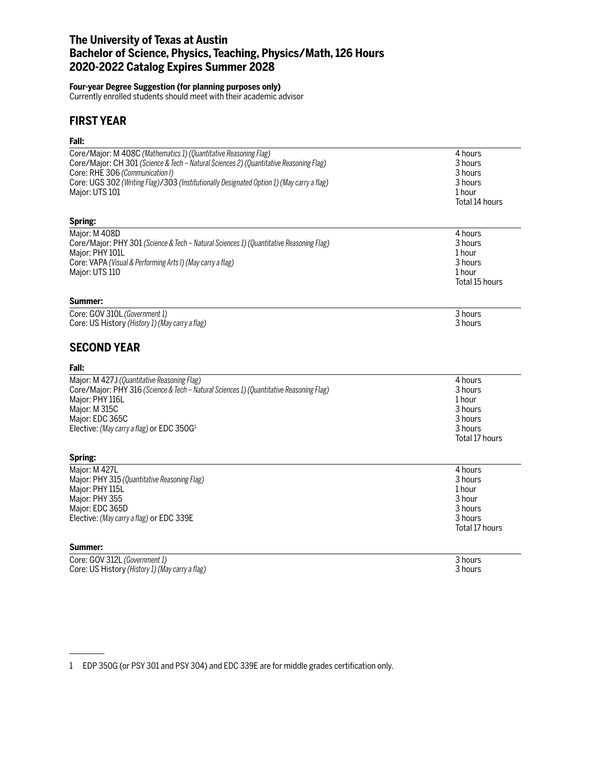# **The University of Texas at Austin Bachelor of Science, Physics, Teaching, Physics/Math, 126 Hours 2020-2022 Catalog Expires Summer 2028**

### **Four-year Degree Suggestion (for planning purposes only)**

Currently enrolled students should meet with their academic advisor

# **FIRST YEAR**

## **Fall:**

| ган.                                                                                      |                |
|-------------------------------------------------------------------------------------------|----------------|
| Core/Major: M 408C (Mathematics 1) (Quantitative Reasoning Flag)                          | 4 hours        |
| Core/Major: CH 301 (Science & Tech - Natural Sciences 2) (Quantitative Reasoning Flag)    | 3 hours        |
| Core: RHE 306 (Communication I)                                                           | 3 hours        |
| Core: UGS 302 (Writing Flag)/303 (Institutionally Designated Option 1) (May carry a flag) | 3 hours        |
| Major: UTS 101                                                                            | 1 hour         |
|                                                                                           | Total 14 hours |
| Spring:                                                                                   |                |
| Major: M 408D                                                                             | 4 hours        |
| Core/Major: PHY 301 (Science & Tech - Natural Sciences 1) (Quantitative Reasoning Flag)   | 3 hours        |
| Major: PHY 101L                                                                           | 1 hour         |
| Core: VAPA (Visual & Performing Arts I) (May carry a flag)                                | 3 hours        |
| Major: UTS 110                                                                            | 1 hour         |
|                                                                                           | Total 15 hours |
| Summer:                                                                                   |                |
| Core: GOV 310L (Government 1)                                                             | 3 hours        |
| Core: US History (History 1) (May carry a flag)                                           | 3 hours        |
|                                                                                           |                |
| <b>SECOND YEAR</b>                                                                        |                |
| Fall:                                                                                     |                |
| Major: M 427J (Quantitative Reasoning Flag)                                               | 4 hours        |
| Core/Major: PHY 316 (Science & Tech - Natural Sciences 1) (Quantitative Reasoning Flag)   | 3 hours        |
| Major: PHY 116L                                                                           | 1 hour         |
| Major: M 315C                                                                             | 3 hours        |
| Major: EDC 365C                                                                           | 3 hours        |
| Elective: (May carry a flag) or EDC 350G <sup>1</sup>                                     | 3 hours        |
|                                                                                           | Total 17 hours |
| Spring:                                                                                   |                |
| Major: M 427L                                                                             | 4 hours        |
| Major: PHY 315 (Quantitative Reasoning Flag)                                              | 3 hours        |
| Major: PHY 115L                                                                           | 1 hour         |
| Major: PHY 355                                                                            | 3 hour         |
| Major: EDC 365D                                                                           | 3 hours        |
| Elective: (May carry a flag) or EDC 339E                                                  | 3 hours        |
|                                                                                           | Total 17 hours |
| Summer:                                                                                   |                |
| Core: GOV 312L (Government 1)                                                             | 3 hours        |
| Core: US History (History 1) (May carry a flag)                                           | 3 hours        |
|                                                                                           |                |

1 EDP 350G (or PSY 301 and PSY 304) and EDC 339E are for middle grades certification only.